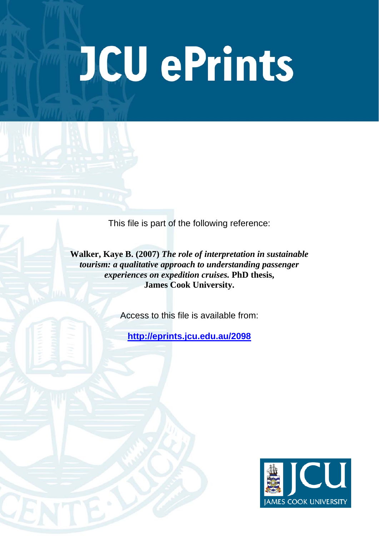# **JCU ePrints**

This file is part of the following reference:

**Walker, Kaye B. (2007)** *The role of interpretation in sustainable tourism: a qualitative approach to understanding passenger experiences on expedition cruises.* **PhD thesis, James Cook University.**

Access to this file is available from:

**<http://eprints.jcu.edu.au/2098>**

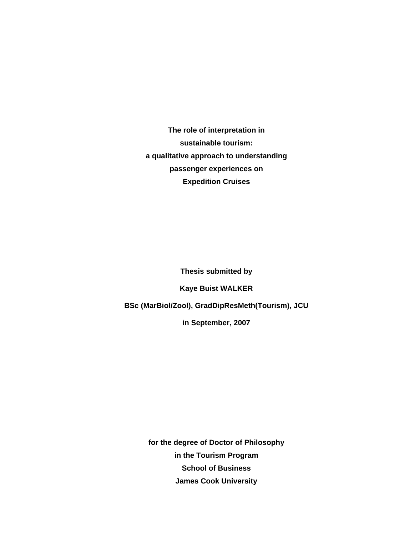**The role of interpretation in sustainable tourism: a qualitative approach to understanding passenger experiences on Expedition Cruises** 

**Thesis submitted by** 

**Kaye Buist WALKER** 

**BSc (MarBiol/Zool), GradDipResMeth(Tourism), JCU** 

**in September, 2007** 

**for the degree of Doctor of Philosophy in the Tourism Program School of Business James Cook University**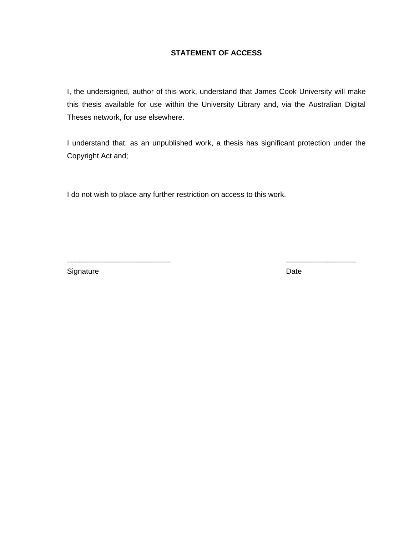# **STATEMENT OF ACCESS**

I, the undersigned, author of this work, understand that James Cook University will make this thesis available for use within the University Library and, via the Australian Digital Theses network, for use elsewhere.

I understand that, as an unpublished work, a thesis has significant protection under the Copyright Act and;

\_\_\_\_\_\_\_\_\_\_\_\_\_\_\_\_\_\_\_\_\_\_\_\_\_ \_\_\_\_\_\_\_\_\_\_\_\_\_\_\_\_\_

I do not wish to place any further restriction on access to this work.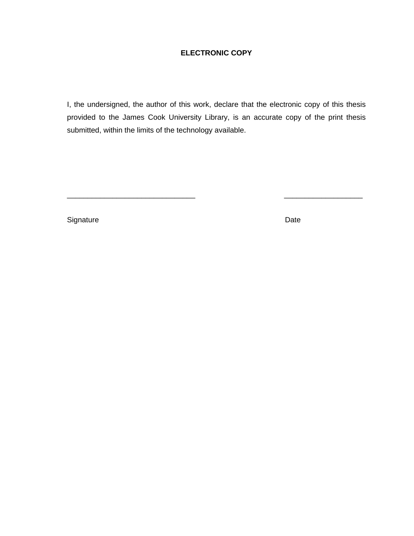# **ELECTRONIC COPY**

I, the undersigned, the author of this work, declare that the electronic copy of this thesis provided to the James Cook University Library, is an accurate copy of the print thesis submitted, within the limits of the technology available.

\_\_\_\_\_\_\_\_\_\_\_\_\_\_\_\_\_\_\_\_\_\_\_\_\_\_\_\_\_\_\_ \_\_\_\_\_\_\_\_\_\_\_\_\_\_\_\_\_\_\_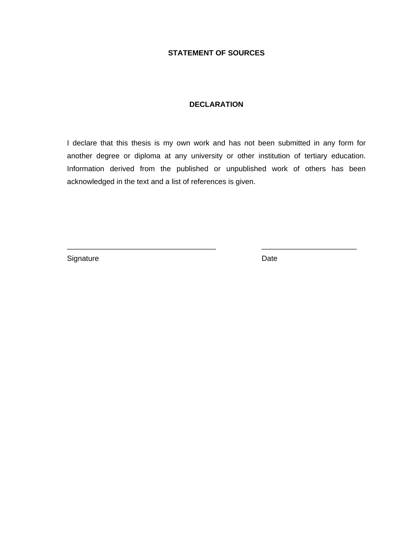# **STATEMENT OF SOURCES**

### **DECLARATION**

I declare that this thesis is my own work and has not been submitted in any form for another degree or diploma at any university or other institution of tertiary education. Information derived from the published or unpublished work of others has been acknowledged in the text and a list of references is given.

\_\_\_\_\_\_\_\_\_\_\_\_\_\_\_\_\_\_\_\_\_\_\_\_\_\_\_\_\_\_\_\_\_\_\_\_ \_\_\_\_\_\_\_\_\_\_\_\_\_\_\_\_\_\_\_\_\_\_\_

Signature Date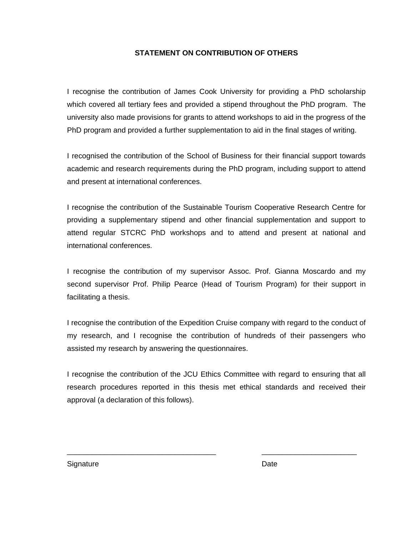# **STATEMENT ON CONTRIBUTION OF OTHERS**

I recognise the contribution of James Cook University for providing a PhD scholarship which covered all tertiary fees and provided a stipend throughout the PhD program. The university also made provisions for grants to attend workshops to aid in the progress of the PhD program and provided a further supplementation to aid in the final stages of writing.

I recognised the contribution of the School of Business for their financial support towards academic and research requirements during the PhD program, including support to attend and present at international conferences.

I recognise the contribution of the Sustainable Tourism Cooperative Research Centre for providing a supplementary stipend and other financial supplementation and support to attend regular STCRC PhD workshops and to attend and present at national and international conferences.

I recognise the contribution of my supervisor Assoc. Prof. Gianna Moscardo and my second supervisor Prof. Philip Pearce (Head of Tourism Program) for their support in facilitating a thesis.

I recognise the contribution of the Expedition Cruise company with regard to the conduct of my research, and I recognise the contribution of hundreds of their passengers who assisted my research by answering the questionnaires.

I recognise the contribution of the JCU Ethics Committee with regard to ensuring that all research procedures reported in this thesis met ethical standards and received their approval (a declaration of this follows).

\_\_\_\_\_\_\_\_\_\_\_\_\_\_\_\_\_\_\_\_\_\_\_\_\_\_\_\_\_\_\_\_\_\_\_\_ \_\_\_\_\_\_\_\_\_\_\_\_\_\_\_\_\_\_\_\_\_\_\_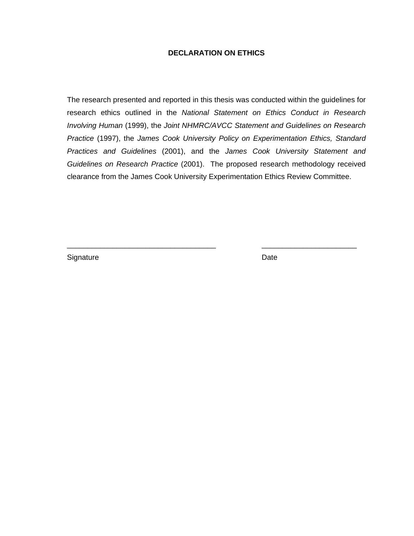### **DECLARATION ON ETHICS**

The research presented and reported in this thesis was conducted within the guidelines for research ethics outlined in the *National Statement on Ethics Conduct in Research Involving Human* (1999), the *Joint NHMRC/AVCC Statement and Guidelines on Research Practice* (1997), the *James Cook University Policy on Experimentation Ethics, Standard Practices and Guidelines* (2001), and the *James Cook University Statement and Guidelines on Research Practice* (2001). The proposed research methodology received clearance from the James Cook University Experimentation Ethics Review Committee.

\_\_\_\_\_\_\_\_\_\_\_\_\_\_\_\_\_\_\_\_\_\_\_\_\_\_\_\_\_\_\_\_\_\_\_\_ \_\_\_\_\_\_\_\_\_\_\_\_\_\_\_\_\_\_\_\_\_\_\_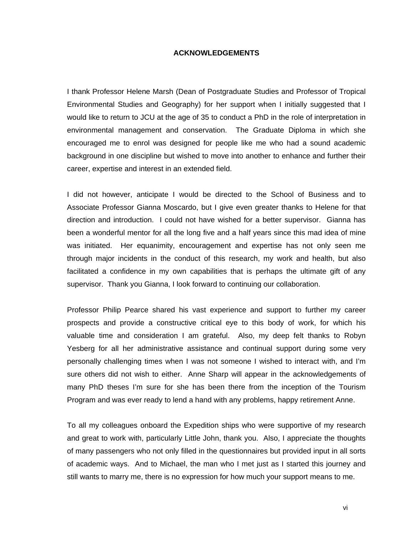### **ACKNOWLEDGEMENTS**

I thank Professor Helene Marsh (Dean of Postgraduate Studies and Professor of Tropical Environmental Studies and Geography) for her support when I initially suggested that I would like to return to JCU at the age of 35 to conduct a PhD in the role of interpretation in environmental management and conservation. The Graduate Diploma in which she encouraged me to enrol was designed for people like me who had a sound academic background in one discipline but wished to move into another to enhance and further their career, expertise and interest in an extended field.

I did not however, anticipate I would be directed to the School of Business and to Associate Professor Gianna Moscardo, but I give even greater thanks to Helene for that direction and introduction. I could not have wished for a better supervisor. Gianna has been a wonderful mentor for all the long five and a half years since this mad idea of mine was initiated. Her equanimity, encouragement and expertise has not only seen me through major incidents in the conduct of this research, my work and health, but also facilitated a confidence in my own capabilities that is perhaps the ultimate gift of any supervisor. Thank you Gianna, I look forward to continuing our collaboration.

Professor Philip Pearce shared his vast experience and support to further my career prospects and provide a constructive critical eye to this body of work, for which his valuable time and consideration I am grateful. Also, my deep felt thanks to Robyn Yesberg for all her administrative assistance and continual support during some very personally challenging times when I was not someone I wished to interact with, and I'm sure others did not wish to either. Anne Sharp will appear in the acknowledgements of many PhD theses I'm sure for she has been there from the inception of the Tourism Program and was ever ready to lend a hand with any problems, happy retirement Anne.

To all my colleagues onboard the Expedition ships who were supportive of my research and great to work with, particularly Little John, thank you. Also, I appreciate the thoughts of many passengers who not only filled in the questionnaires but provided input in all sorts of academic ways. And to Michael, the man who I met just as I started this journey and still wants to marry me, there is no expression for how much your support means to me.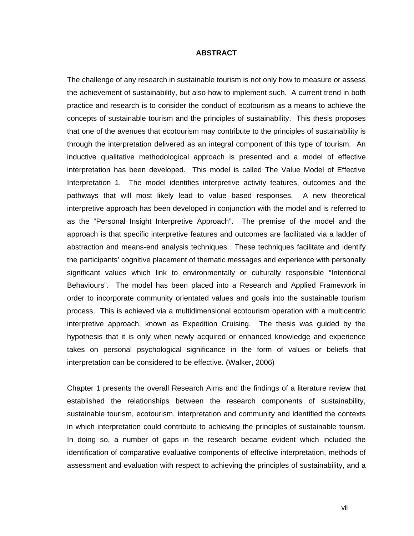### **ABSTRACT**

The challenge of any research in sustainable tourism is not only how to measure or assess the achievement of sustainability, but also how to implement such. A current trend in both practice and research is to consider the conduct of ecotourism as a means to achieve the concepts of sustainable tourism and the principles of sustainability. This thesis proposes that one of the avenues that ecotourism may contribute to the principles of sustainability is through the interpretation delivered as an integral component of this type of tourism. An inductive qualitative methodological approach is presented and a model of effective interpretation has been developed. This model is called The Value Model of Effective Interpretation 1. The model identifies interpretive activity features, outcomes and the pathways that will most likely lead to value based responses. A new theoretical interpretive approach has been developed in conjunction with the model and is referred to as the "Personal Insight Interpretive Approach". The premise of the model and the approach is that specific interpretive features and outcomes are facilitated via a ladder of abstraction and means-end analysis techniques. These techniques facilitate and identify the participants' cognitive placement of thematic messages and experience with personally significant values which link to environmentally or culturally responsible "Intentional Behaviours". The model has been placed into a Research and Applied Framework in order to incorporate community orientated values and goals into the sustainable tourism process. This is achieved via a multidimensional ecotourism operation with a multicentric interpretive approach, known as Expedition Cruising. The thesis was guided by the hypothesis that it is only when newly acquired or enhanced knowledge and experience takes on personal psychological significance in the form of values or beliefs that interpretation can be considered to be effective. (Walker, 2006)

Chapter 1 presents the overall Research Aims and the findings of a literature review that established the relationships between the research components of sustainability, sustainable tourism, ecotourism, interpretation and community and identified the contexts in which interpretation could contribute to achieving the principles of sustainable tourism. In doing so, a number of gaps in the research became evident which included the identification of comparative evaluative components of effective interpretation, methods of assessment and evaluation with respect to achieving the principles of sustainability, and a

vii viitevat valtamatused valtamatused valtamatused valtamatused valtamatused valtamatused valtamatused valtam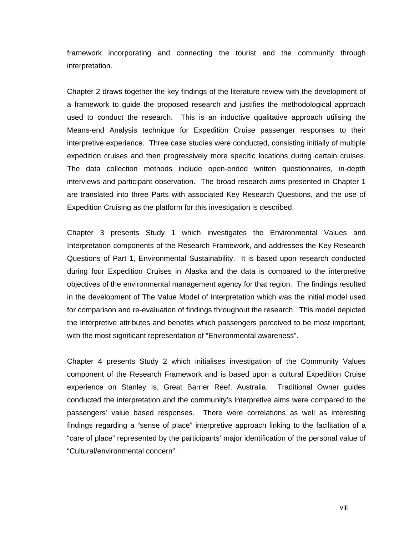framework incorporating and connecting the tourist and the community through interpretation.

Chapter 2 draws together the key findings of the literature review with the development of a framework to guide the proposed research and justifies the methodological approach used to conduct the research. This is an inductive qualitative approach utilising the Means-end Analysis technique for Expedition Cruise passenger responses to their interpretive experience. Three case studies were conducted, consisting initially of multiple expedition cruises and then progressively more specific locations during certain cruises. The data collection methods include open-ended written questionnaires, in-depth interviews and participant observation. The broad research aims presented in Chapter 1 are translated into three Parts with associated Key Research Questions, and the use of Expedition Cruising as the platform for this investigation is described.

Chapter 3 presents Study 1 which investigates the Environmental Values and Interpretation components of the Research Framework, and addresses the Key Research Questions of Part 1, Environmental Sustainability. It is based upon research conducted during four Expedition Cruises in Alaska and the data is compared to the interpretive objectives of the environmental management agency for that region. The findings resulted in the development of The Value Model of Interpretation which was the initial model used for comparison and re-evaluation of findings throughout the research. This model depicted the interpretive attributes and benefits which passengers perceived to be most important, with the most significant representation of "Environmental awareness".

Chapter 4 presents Study 2 which initialises investigation of the Community Values component of the Research Framework and is based upon a cultural Expedition Cruise experience on Stanley Is, Great Barrier Reef, Australia. Traditional Owner guides conducted the interpretation and the community's interpretive aims were compared to the passengers' value based responses. There were correlations as well as interesting findings regarding a "sense of place" interpretive approach linking to the facilitation of a "care of place" represented by the participants' major identification of the personal value of "Cultural/environmental concern".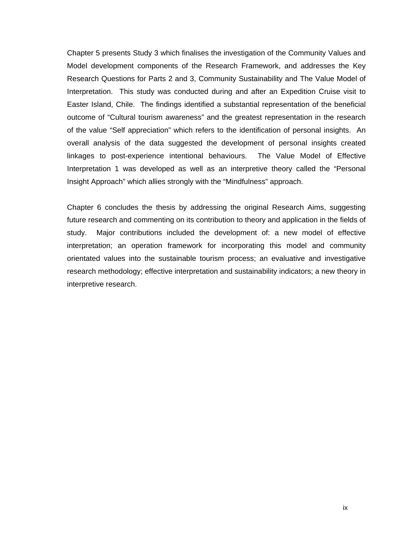Chapter 5 presents Study 3 which finalises the investigation of the Community Values and Model development components of the Research Framework, and addresses the Key Research Questions for Parts 2 and 3, Community Sustainability and The Value Model of Interpretation. This study was conducted during and after an Expedition Cruise visit to Easter Island, Chile. The findings identified a substantial representation of the beneficial outcome of "Cultural tourism awareness" and the greatest representation in the research of the value "Self appreciation" which refers to the identification of personal insights. An overall analysis of the data suggested the development of personal insights created linkages to post-experience intentional behaviours. The Value Model of Effective Interpretation 1 was developed as well as an interpretive theory called the "Personal Insight Approach" which allies strongly with the "Mindfulness" approach.

Chapter 6 concludes the thesis by addressing the original Research Aims, suggesting future research and commenting on its contribution to theory and application in the fields of study. Major contributions included the development of: a new model of effective interpretation; an operation framework for incorporating this model and community orientated values into the sustainable tourism process; an evaluative and investigative research methodology; effective interpretation and sustainability indicators; a new theory in interpretive research.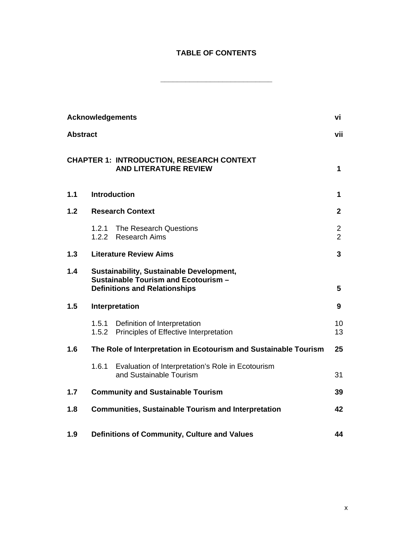# **TABLE OF CONTENTS**

**\_\_\_\_\_\_\_\_\_\_\_\_\_\_\_\_\_\_\_\_\_\_\_\_\_\_\_** 

|                 |                | <b>Acknowledgements</b>                                                                                                  | vi                  |
|-----------------|----------------|--------------------------------------------------------------------------------------------------------------------------|---------------------|
| <b>Abstract</b> |                |                                                                                                                          | vii                 |
|                 |                | <b>CHAPTER 1: INTRODUCTION, RESEARCH CONTEXT</b><br><b>AND LITERATURE REVIEW</b>                                         | $\mathbf 1$         |
| 1.1             |                | <b>Introduction</b>                                                                                                      | 1                   |
| 1.2             |                | <b>Research Context</b>                                                                                                  | $\mathbf{2}$        |
|                 | 1.2.1<br>1.2.2 | The Research Questions<br><b>Research Aims</b>                                                                           | 2<br>$\overline{2}$ |
| 1.3             |                | <b>Literature Review Aims</b>                                                                                            | 3                   |
| 1.4             |                | Sustainability, Sustainable Development,<br>Sustainable Tourism and Ecotourism -<br><b>Definitions and Relationships</b> | 5                   |
| 1.5             |                | Interpretation                                                                                                           | 9                   |
|                 | 1.5.1          | Definition of Interpretation<br>1.5.2 Principles of Effective Interpretation                                             | 10<br>13            |
| 1.6             |                | The Role of Interpretation in Ecotourism and Sustainable Tourism                                                         | 25                  |
|                 | 1.6.1          | Evaluation of Interpretation's Role in Ecotourism<br>and Sustainable Tourism                                             | 31                  |
| 1.7             |                | <b>Community and Sustainable Tourism</b>                                                                                 | 39                  |
| 1.8             |                | <b>Communities, Sustainable Tourism and Interpretation</b>                                                               | 42                  |
| 1.9             |                | Definitions of Community, Culture and Values                                                                             | 44                  |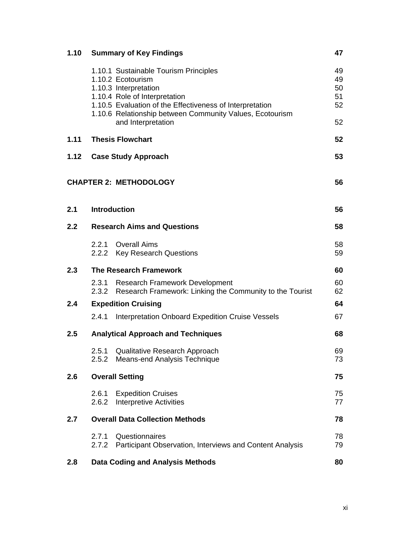| 1.10 |                | <b>Summary of Key Findings</b>                                                                                                                                                                                                                                     | 47                               |
|------|----------------|--------------------------------------------------------------------------------------------------------------------------------------------------------------------------------------------------------------------------------------------------------------------|----------------------------------|
|      |                | 1.10.1 Sustainable Tourism Principles<br>1.10.2 Ecotourism<br>1.10.3 Interpretation<br>1.10.4 Role of Interpretation<br>1.10.5 Evaluation of the Effectiveness of Interpretation<br>1.10.6 Relationship between Community Values, Ecotourism<br>and Interpretation | 49<br>49<br>50<br>51<br>52<br>52 |
| 1.11 |                | <b>Thesis Flowchart</b>                                                                                                                                                                                                                                            | 52                               |
| 1.12 |                | <b>Case Study Approach</b>                                                                                                                                                                                                                                         | 53                               |
|      |                | <b>CHAPTER 2: METHODOLOGY</b>                                                                                                                                                                                                                                      | 56                               |
| 2.1  |                | <b>Introduction</b>                                                                                                                                                                                                                                                | 56                               |
| 2.2  |                | <b>Research Aims and Questions</b>                                                                                                                                                                                                                                 | 58                               |
|      |                | 2.2.1 Overall Aims<br>2.2.2 Key Research Questions                                                                                                                                                                                                                 | 58<br>59                         |
| 2.3  |                | <b>The Research Framework</b>                                                                                                                                                                                                                                      | 60                               |
|      | 2.3.1<br>2.3.2 | <b>Research Framework Development</b><br>Research Framework: Linking the Community to the Tourist                                                                                                                                                                  | 60<br>62                         |
| 2.4  |                | <b>Expedition Cruising</b>                                                                                                                                                                                                                                         | 64                               |
|      | 2.4.1          | Interpretation Onboard Expedition Cruise Vessels                                                                                                                                                                                                                   | 67                               |
| 2.5  |                | <b>Analytical Approach and Techniques</b>                                                                                                                                                                                                                          | 68                               |
|      | 2.5.1<br>2.5.2 | Qualitative Research Approach<br>Means-end Analysis Technique                                                                                                                                                                                                      | 69<br>73                         |
| 2.6  |                | <b>Overall Setting</b>                                                                                                                                                                                                                                             | 75                               |
|      | 2.6.1<br>2.6.2 | <b>Expedition Cruises</b><br><b>Interpretive Activities</b>                                                                                                                                                                                                        | 75<br>77                         |
| 2.7  |                | <b>Overall Data Collection Methods</b>                                                                                                                                                                                                                             | 78                               |
|      | 2.7.1<br>2.7.2 | Questionnaires<br>Participant Observation, Interviews and Content Analysis                                                                                                                                                                                         | 78<br>79                         |
| 2.8  |                | <b>Data Coding and Analysis Methods</b>                                                                                                                                                                                                                            | 80                               |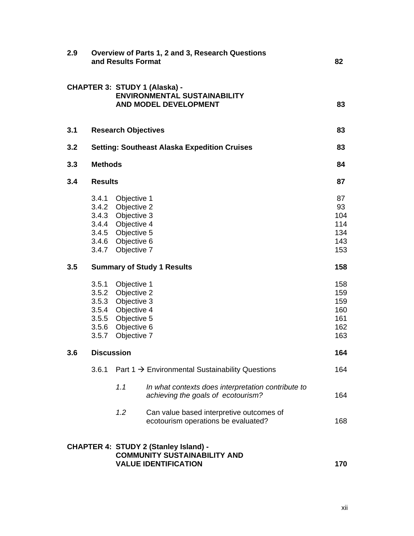| 2.9 |                   | and Results Format                                                                                                                              | Overview of Parts 1, 2 and 3, Research Questions                                                                   | 82                                            |
|-----|-------------------|-------------------------------------------------------------------------------------------------------------------------------------------------|--------------------------------------------------------------------------------------------------------------------|-----------------------------------------------|
|     |                   |                                                                                                                                                 | <b>CHAPTER 3: STUDY 1 (Alaska) -</b><br><b>ENVIRONMENTAL SUSTAINABILITY</b><br>AND MODEL DEVELOPMENT               | 83                                            |
| 3.1 |                   | <b>Research Objectives</b>                                                                                                                      |                                                                                                                    | 83                                            |
| 3.2 |                   |                                                                                                                                                 | <b>Setting: Southeast Alaska Expedition Cruises</b>                                                                | 83                                            |
| 3.3 | <b>Methods</b>    |                                                                                                                                                 |                                                                                                                    | 84                                            |
| 3.4 | <b>Results</b>    |                                                                                                                                                 |                                                                                                                    | 87                                            |
|     |                   | 3.4.1 Objective 1<br>3.4.2 Objective 2<br>3.4.3 Objective 3<br>3.4.4 Objective 4<br>3.4.5 Objective 5<br>3.4.6 Objective 6<br>3.4.7 Objective 7 |                                                                                                                    | 87<br>93<br>104<br>114<br>134<br>143<br>153   |
| 3.5 |                   |                                                                                                                                                 | <b>Summary of Study 1 Results</b>                                                                                  | 158                                           |
|     |                   | 3.5.1 Objective 1<br>3.5.2 Objective 2<br>3.5.3 Objective 3<br>3.5.4 Objective 4<br>3.5.5 Objective 5<br>3.5.6 Objective 6<br>3.5.7 Objective 7 |                                                                                                                    | 158<br>159<br>159<br>160<br>161<br>162<br>163 |
| 3.6 | <b>Discussion</b> |                                                                                                                                                 |                                                                                                                    | 164                                           |
|     | 3.6.1             |                                                                                                                                                 | Part $1 \rightarrow$ Environmental Sustainability Questions                                                        | 164                                           |
|     |                   | 1.1                                                                                                                                             | In what contexts does interpretation contribute to<br>achieving the goals of ecotourism?                           | 164                                           |
|     |                   | 1.2                                                                                                                                             | Can value based interpretive outcomes of<br>ecotourism operations be evaluated?                                    | 168                                           |
|     |                   |                                                                                                                                                 | <b>CHAPTER 4: STUDY 2 (Stanley Island) -</b><br><b>COMMUNITY SUSTAINABILITY AND</b><br><b>VALUE IDENTIFICATION</b> | 170                                           |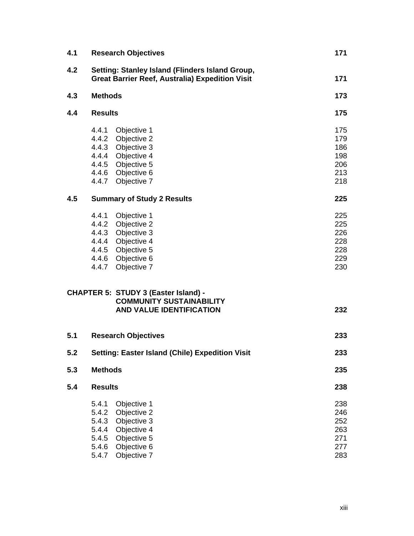| 4.1 |                                                             | <b>Research Objectives</b>                                                                                                                | 171                                           |
|-----|-------------------------------------------------------------|-------------------------------------------------------------------------------------------------------------------------------------------|-----------------------------------------------|
| 4.2 |                                                             | Setting: Stanley Island (Flinders Island Group,<br><b>Great Barrier Reef, Australia) Expedition Visit</b>                                 | 171                                           |
| 4.3 | <b>Methods</b>                                              |                                                                                                                                           | 173                                           |
| 4.4 | <b>Results</b>                                              |                                                                                                                                           | 175                                           |
|     | 4.4.1                                                       | Objective 1<br>4.4.2 Objective 2<br>4.4.3 Objective 3<br>4.4.4 Objective 4<br>4.4.5 Objective 5<br>4.4.6 Objective 6<br>4.4.7 Objective 7 | 175<br>179<br>186<br>198<br>206<br>213<br>218 |
| 4.5 |                                                             | <b>Summary of Study 2 Results</b>                                                                                                         | 225                                           |
|     | 4.4.1                                                       | Objective 1<br>4.4.2 Objective 2<br>4.4.3 Objective 3<br>4.4.4 Objective 4<br>4.4.5 Objective 5<br>4.4.6 Objective 6<br>4.4.7 Objective 7 | 225<br>225<br>226<br>228<br>228<br>229<br>230 |
|     |                                                             | <b>CHAPTER 5: STUDY 3 (Easter Island) -</b><br><b>COMMUNITY SUSTAINABILITY</b><br><b>AND VALUE IDENTIFICATION</b>                         | 232                                           |
| 5.1 |                                                             | <b>Research Objectives</b>                                                                                                                | 233                                           |
| 5.2 |                                                             | Setting: Easter Island (Chile) Expedition Visit                                                                                           | 233                                           |
| 5.3 | <b>Methods</b>                                              |                                                                                                                                           | 235                                           |
| 5.4 | <b>Results</b>                                              |                                                                                                                                           | 238                                           |
|     | 5.4.1<br>5.4.2<br>5.4.3<br>5.4.4<br>5.4.5<br>5.4.6<br>5.4.7 | Objective 1<br>Objective 2<br>Objective 3<br>Objective 4<br>Objective 5<br>Objective 6<br>Objective 7                                     | 238<br>246<br>252<br>263<br>271<br>277<br>283 |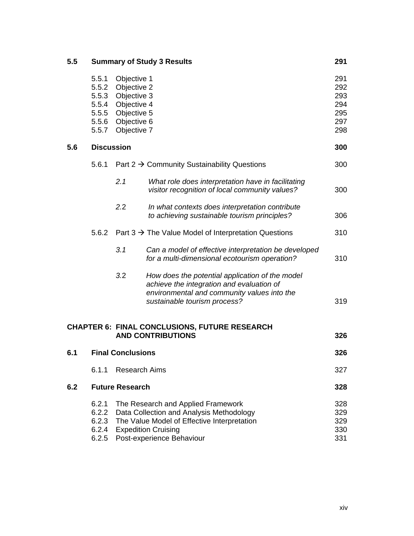| 5.5 |                                                             |                                                                                                       | <b>Summary of Study 3 Results</b>                                                                                                                                                        | 291                                           |
|-----|-------------------------------------------------------------|-------------------------------------------------------------------------------------------------------|------------------------------------------------------------------------------------------------------------------------------------------------------------------------------------------|-----------------------------------------------|
|     | 5.5.1<br>5.5.2<br>5.5.3<br>5.5.4<br>5.5.5<br>5.5.6<br>5.5.7 | Objective 1<br>Objective 2<br>Objective 3<br>Objective 4<br>Objective 5<br>Objective 6<br>Objective 7 |                                                                                                                                                                                          | 291<br>292<br>293<br>294<br>295<br>297<br>298 |
| 5.6 |                                                             | <b>Discussion</b>                                                                                     |                                                                                                                                                                                          | 300                                           |
|     | 5.6.1                                                       |                                                                                                       | Part $2 \rightarrow$ Community Sustainability Questions                                                                                                                                  | 300                                           |
|     |                                                             | 2.1                                                                                                   | What role does interpretation have in facilitating<br>visitor recognition of local community values?                                                                                     | 300                                           |
|     |                                                             | 2.2                                                                                                   | In what contexts does interpretation contribute<br>to achieving sustainable tourism principles?                                                                                          | 306                                           |
|     |                                                             |                                                                                                       | 5.6.2 Part $3 \rightarrow$ The Value Model of Interpretation Questions                                                                                                                   | 310                                           |
|     |                                                             | 3.1                                                                                                   | Can a model of effective interpretation be developed<br>for a multi-dimensional ecotourism operation?                                                                                    | 310                                           |
|     |                                                             | 3.2                                                                                                   | How does the potential application of the model<br>achieve the integration and evaluation of<br>environmental and community values into the<br>sustainable tourism process?              | 319                                           |
|     |                                                             |                                                                                                       | <b>CHAPTER 6: FINAL CONCLUSIONS, FUTURE RESEARCH</b><br><b>AND CONTRIBUTIONS</b>                                                                                                         | 326                                           |
| 6.1 |                                                             | <b>Final Conclusions</b>                                                                              |                                                                                                                                                                                          | 326                                           |
|     | 6.1.1                                                       | <b>Research Aims</b>                                                                                  |                                                                                                                                                                                          | 327                                           |
| 6.2 |                                                             | <b>Future Research</b>                                                                                |                                                                                                                                                                                          | 328                                           |
|     | 6.2.1<br>6.2.2<br>6.2.3<br>6.2.4<br>6.2.5                   |                                                                                                       | The Research and Applied Framework<br>Data Collection and Analysis Methodology<br>The Value Model of Effective Interpretation<br><b>Expedition Cruising</b><br>Post-experience Behaviour | 328<br>329<br>329<br>330<br>331               |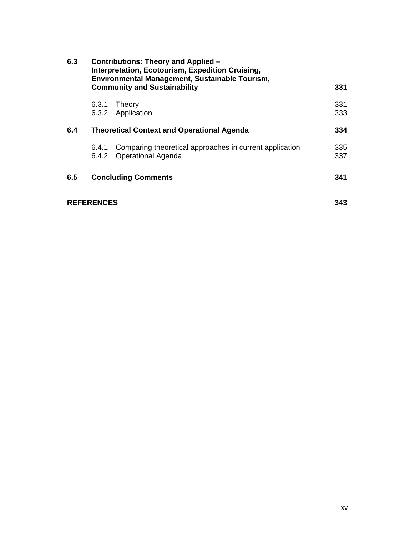| 6.3 |                   | <b>Contributions: Theory and Applied -</b><br>Interpretation, Ecotourism, Expedition Cruising,<br>Environmental Management, Sustainable Tourism,<br><b>Community and Sustainability</b> | 331        |
|-----|-------------------|-----------------------------------------------------------------------------------------------------------------------------------------------------------------------------------------|------------|
|     | 6.3.1             | Theory<br>6.3.2 Application                                                                                                                                                             | 331<br>333 |
| 6.4 |                   | <b>Theoretical Context and Operational Agenda</b>                                                                                                                                       | 334        |
|     | 6.4.1<br>6.4.2    | Comparing theoretical approaches in current application<br><b>Operational Agenda</b>                                                                                                    | 335<br>337 |
| 6.5 |                   | <b>Concluding Comments</b>                                                                                                                                                              | 341        |
|     | <b>REFERENCES</b> |                                                                                                                                                                                         | 343        |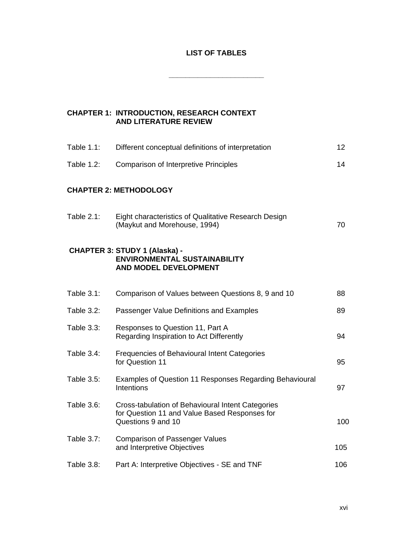# **LIST OF TABLES**

**\_\_\_\_\_\_\_\_\_\_\_\_\_\_\_\_\_\_\_\_\_\_\_** 

| <b>CHAPTER 1: INTRODUCTION, RESEARCH CONTEXT</b> |
|--------------------------------------------------|
| <b>AND LITERATURE REVIEW</b>                     |

| Table 1.1:        | Different conceptual definitions of interpretation                                                                       | 12  |
|-------------------|--------------------------------------------------------------------------------------------------------------------------|-----|
| Table 1.2:        | <b>Comparison of Interpretive Principles</b>                                                                             | 14  |
|                   | <b>CHAPTER 2: METHODOLOGY</b>                                                                                            |     |
| Table 2.1:        | Eight characteristics of Qualitative Research Design<br>(Maykut and Morehouse, 1994)                                     | 70  |
|                   | <b>CHAPTER 3: STUDY 1 (Alaska) -</b><br><b>ENVIRONMENTAL SUSTAINABILITY</b><br><b>AND MODEL DEVELOPMENT</b>              |     |
| Table 3.1:        | Comparison of Values between Questions 8, 9 and 10                                                                       | 88  |
| Table 3.2:        | Passenger Value Definitions and Examples                                                                                 | 89  |
| Table 3.3:        | Responses to Question 11, Part A<br>Regarding Inspiration to Act Differently                                             | 94  |
| Table 3.4:        | Frequencies of Behavioural Intent Categories<br>for Question 11                                                          | 95  |
| Table 3.5:        | Examples of Question 11 Responses Regarding Behavioural<br>Intentions                                                    | 97  |
| Table 3.6:        | Cross-tabulation of Behavioural Intent Categories<br>for Question 11 and Value Based Responses for<br>Questions 9 and 10 | 100 |
| <b>Table 3.7:</b> | <b>Comparison of Passenger Values</b><br>and Interpretive Objectives                                                     | 105 |
| Table 3.8:        | Part A: Interpretive Objectives - SE and TNF                                                                             | 106 |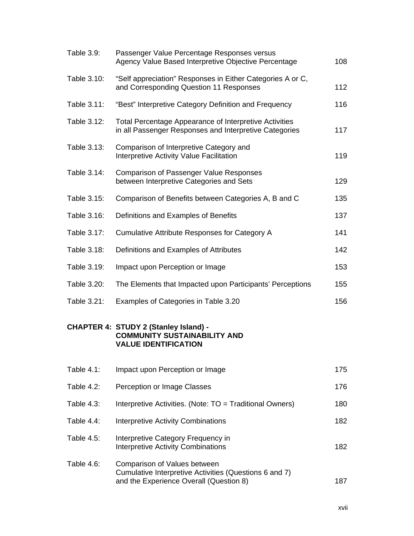| Table 3.9:        | Passenger Value Percentage Responses versus<br>Agency Value Based Interpretive Objective Percentage                | 108 |
|-------------------|--------------------------------------------------------------------------------------------------------------------|-----|
| Table 3.10:       | "Self appreciation" Responses in Either Categories A or C,<br>and Corresponding Question 11 Responses              | 112 |
| Table 3.11:       | "Best" Interpretive Category Definition and Frequency                                                              | 116 |
| Table 3.12:       | Total Percentage Appearance of Interpretive Activities<br>in all Passenger Responses and Interpretive Categories   | 117 |
| Table 3.13:       | Comparison of Interpretive Category and<br>Interpretive Activity Value Facilitation                                | 119 |
| Table 3.14:       | <b>Comparison of Passenger Value Responses</b><br>between Interpretive Categories and Sets                         | 129 |
| Table 3.15:       | Comparison of Benefits between Categories A, B and C                                                               | 135 |
| Table 3.16:       | Definitions and Examples of Benefits                                                                               | 137 |
| Table 3.17:       | Cumulative Attribute Responses for Category A                                                                      | 141 |
| Table 3.18:       | Definitions and Examples of Attributes                                                                             | 142 |
| Table 3.19:       | Impact upon Perception or Image                                                                                    | 153 |
| Table 3.20:       | The Elements that Impacted upon Participants' Perceptions                                                          | 155 |
| Table 3.21:       | Examples of Categories in Table 3.20                                                                               | 156 |
|                   | <b>CHAPTER 4: STUDY 2 (Stanley Island) -</b><br><b>COMMUNITY SUSTAINABILITY AND</b><br><b>VALUE IDENTIFICATION</b> |     |
| Table 4.1:        | Impact upon Perception or Image                                                                                    | 175 |
| <b>Table 4.2:</b> | Perception or Image Classes                                                                                        | 176 |
| <b>Table 4.3:</b> | Interpretive Activities. (Note: TO = Traditional Owners)                                                           | 180 |
| Table 4.4:        | <b>Interpretive Activity Combinations</b>                                                                          | 182 |
| Table 4.5:        | Interpretive Category Frequency in<br><b>Interpretive Activity Combinations</b>                                    | 182 |
| Table 4.6:        | Comparison of Values between<br>Cumulative Interpretive Activities (Questions 6 and 7)                             |     |

and the Experience Overall (Question 8) 187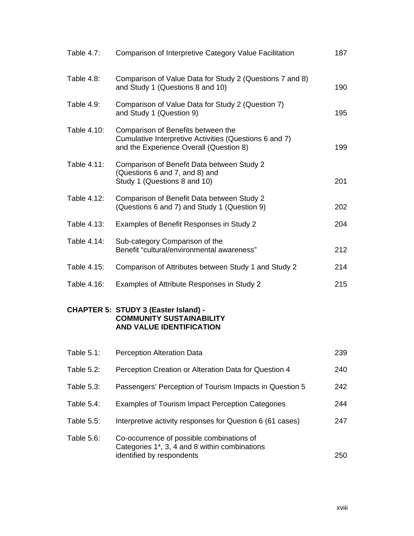| <b>Table 4.7:</b> | Comparison of Interpretive Category Value Facilitation                                                                                  | 187 |
|-------------------|-----------------------------------------------------------------------------------------------------------------------------------------|-----|
| Table 4.8:        | Comparison of Value Data for Study 2 (Questions 7 and 8)<br>and Study 1 (Questions 8 and 10)                                            | 190 |
| <b>Table 4.9:</b> | Comparison of Value Data for Study 2 (Question 7)<br>and Study 1 (Question 9)                                                           | 195 |
| Table 4.10:       | Comparison of Benefits between the<br>Cumulative Interpretive Activities (Questions 6 and 7)<br>and the Experience Overall (Question 8) | 199 |
| Table 4.11:       | Comparison of Benefit Data between Study 2<br>(Questions 6 and 7, and 8) and<br>Study 1 (Questions 8 and 10)                            | 201 |
| Table 4.12:       | Comparison of Benefit Data between Study 2<br>(Questions 6 and 7) and Study 1 (Question 9)                                              | 202 |
| Table 4.13:       | Examples of Benefit Responses in Study 2                                                                                                | 204 |
| Table 4.14:       | Sub-category Comparison of the<br>Benefit "cultural/environmental awareness"                                                            | 212 |
| Table 4.15:       | Comparison of Attributes between Study 1 and Study 2                                                                                    | 214 |
| Table 4.16:       | Examples of Attribute Responses in Study 2                                                                                              | 215 |
|                   | <b>CHAPTER 5: STUDY 3 (Easter Island) -</b><br><b>COMMUNITY SUSTAINABILITY</b><br><b>AND VALUE IDENTIFICATION</b>                       |     |
|                   | Table 5.1: Perception Alteration Data                                                                                                   | 239 |
| Table 5.2:        | Perception Creation or Alteration Data for Question 4                                                                                   | 240 |
| Table 5.3:        | Passengers' Perception of Tourism Impacts in Question 5                                                                                 | 242 |
| Table 5.4:        | <b>Examples of Tourism Impact Perception Categories</b>                                                                                 | 244 |
| Table 5.5:        | Interpretive activity responses for Question 6 (61 cases)                                                                               | 247 |
| Table 5.6:        | Co-occurrence of possible combinations of<br>Categories 1*, 3, 4 and 8 within combinations                                              |     |

identified by respondents **250**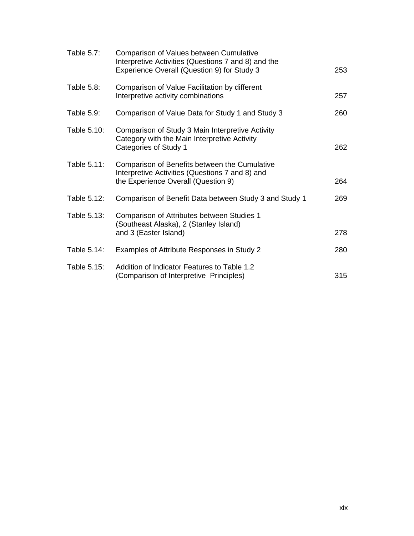| <b>Table 5.7:</b> | Comparison of Values between Cumulative<br>Interpretive Activities (Questions 7 and 8) and the<br>Experience Overall (Question 9) for Study 3 | 253 |
|-------------------|-----------------------------------------------------------------------------------------------------------------------------------------------|-----|
| Table 5.8:        | Comparison of Value Facilitation by different<br>Interpretive activity combinations                                                           | 257 |
| Table 5.9:        | Comparison of Value Data for Study 1 and Study 3                                                                                              | 260 |
| Table 5.10:       | Comparison of Study 3 Main Interpretive Activity<br>Category with the Main Interpretive Activity<br>Categories of Study 1                     | 262 |
| Table 5.11:       | Comparison of Benefits between the Cumulative<br>Interpretive Activities (Questions 7 and 8) and<br>the Experience Overall (Question 9)       | 264 |
| Table 5.12:       | Comparison of Benefit Data between Study 3 and Study 1                                                                                        | 269 |
| Table 5.13:       | Comparison of Attributes between Studies 1<br>(Southeast Alaska), 2 (Stanley Island)<br>and 3 (Easter Island)                                 | 278 |
| Table 5.14:       | Examples of Attribute Responses in Study 2                                                                                                    | 280 |
| Table 5.15:       | Addition of Indicator Features to Table 1.2<br>(Comparison of Interpretive Principles)                                                        | 315 |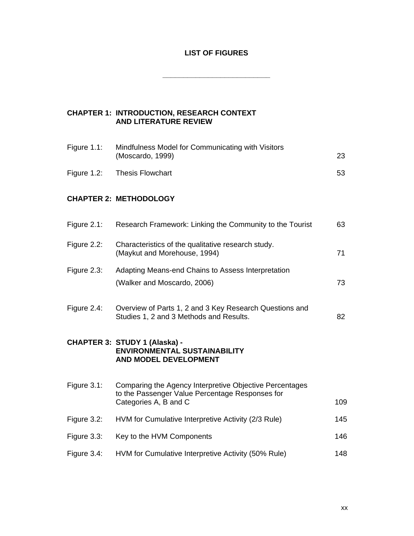# **LIST OF FIGURES**

**\_\_\_\_\_\_\_\_\_\_\_\_\_\_\_\_\_\_\_\_\_\_\_\_\_\_** 

# **CHAPTER 1: INTRODUCTION, RESEARCH CONTEXT AND LITERATURE REVIEW**

| Figure 1.1: | Mindfulness Model for Communicating with Visitors<br>(Moscardo, 1999) | 23 |
|-------------|-----------------------------------------------------------------------|----|
|             | Figure 1.2: Thesis Flowchart                                          | 53 |

# **CHAPTER 2: METHODOLOGY**

| Figure $2.1$ : | Research Framework: Linking the Community to the Tourist                                                                            | 63  |
|----------------|-------------------------------------------------------------------------------------------------------------------------------------|-----|
| Figure 2.2:    | Characteristics of the qualitative research study.<br>(Maykut and Morehouse, 1994)                                                  | 71  |
| Figure $2.3$ : | Adapting Means-end Chains to Assess Interpretation                                                                                  |     |
|                | (Walker and Moscardo, 2006)                                                                                                         | 73  |
| Figure 2.4:    | Overview of Parts 1, 2 and 3 Key Research Questions and                                                                             |     |
|                | Studies 1, 2 and 3 Methods and Results.                                                                                             | 82  |
|                | <b>CHAPTER 3: STUDY 1 (Alaska) -</b><br><b>ENVIRONMENTAL SUSTAINABILITY</b><br><b>AND MODEL DEVELOPMENT</b>                         |     |
|                |                                                                                                                                     |     |
| Figure 3.1:    | Comparing the Agency Interpretive Objective Percentages<br>to the Passenger Value Percentage Responses for<br>Categories A, B and C | 109 |
| Figure 3.2:    | HVM for Cumulative Interpretive Activity (2/3 Rule)                                                                                 | 145 |
| Figure 3.3:    | Key to the HVM Components                                                                                                           | 146 |